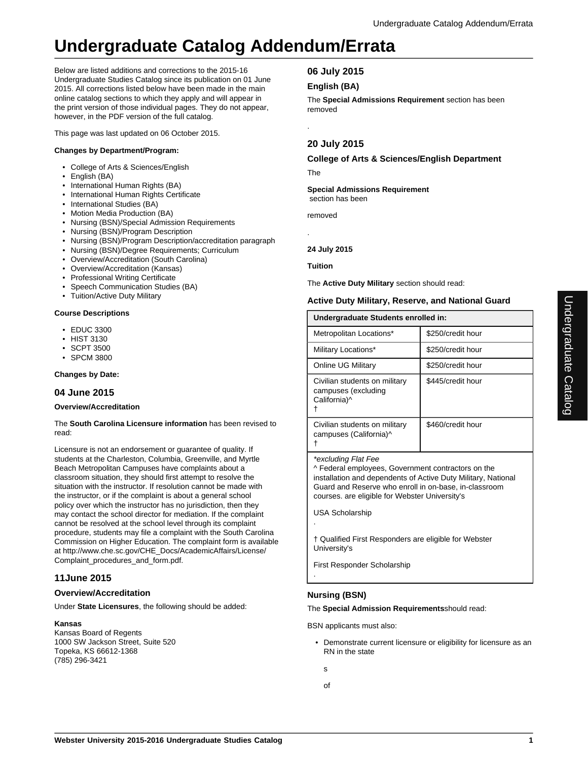# **Undergraduate Catalog Addendum/Errata**

Below are listed additions and corrections to the 2015-16 Undergraduate Studies Catalog since its publication on 01 June 2015. All corrections listed below have been made in the main online catalog sections to which they apply and will appear in the print version of those individual pages. They do not appear, however, in the PDF version of the full catalog.

This page was last updated on 06 October 2015.

# **Changes by Department/Program:**

- College of Arts & Sciences/English
- English (BA)
- International Human Rights (BA)
- International Human Rights Certificate
- International Studies (BA)
- Motion Media Production (BA)
- Nursing (BSN)/Special Admission Requirements
- Nursing (BSN)/Program Description
- Nursing (BSN)/Program Description/accreditation paragraph
- Nursing (BSN)/Degree Requirements; Curriculum
- Overview/Accreditation (South Carolina)
- Overview/Accreditation (Kansas)
- Professional Writing Certificate
- Speech Communication Studies (BA)
- Tuition/Active Duty Military

## **Course Descriptions**

- EDUC 3300
- HIST 3130
- SCPT 3500
- SPCM 3800

## **Changes by Date:**

## **04 June 2015**

## **Overview/Accreditation**

The **South Carolina Licensure information** has been revised to read:

Licensure is not an endorsement or guarantee of quality. If students at the Charleston, Columbia, Greenville, and Myrtle Beach Metropolitan Campuses have complaints about a classroom situation, they should first attempt to resolve the situation with the instructor. If resolution cannot be made with the instructor, or if the complaint is about a general school policy over which the instructor has no jurisdiction, then they may contact the school director for mediation. If the complaint cannot be resolved at the school level through its complaint procedure, students may file a complaint with the South Carolina Commission on Higher Education. The complaint form is available at http://www.che.sc.gov/CHE\_Docs/AcademicAffairs/License/ Complaint\_procedures\_and\_form.pdf.

# **11June 2015**

## **Overview/Accreditation**

Under **State Licensures**, the following should be added:

## **Kansas**

Kansas Board of Regents 1000 SW Jackson Street, Suite 520 Topeka, KS 66612-1368 (785) 296-3421

## **06 July 2015**

## **English (BA)**

The **Special Admissions Requirement** section has been removed

# **20 July 2015**

## **College of Arts & Sciences/English Department**

The

.

.

**Special Admissions Requirement** section has been

removed

## **24 July 2015**

## **Tuition**

The **Active Duty Military** section should read:

## **Active Duty Military, Reserve, and National Guard**

| Undergraduate Students enrolled in:                                  |                   |
|----------------------------------------------------------------------|-------------------|
| Metropolitan Locations*                                              | \$250/credit hour |
| Military Locations*                                                  | \$250/credit hour |
| Online UG Military                                                   | \$250/credit hour |
| Civilian students on military<br>campuses (excluding<br>California)^ | \$445/credit hour |
| Civilian students on military<br>campuses (California)^              | \$460/credit hour |

\*excluding Flat Fee

^ Federal employees, Government contractors on the installation and dependents of Active Duty Military, National Guard and Reserve who enroll in on-base, in-classroom courses. are eligible for Webster University's

USA Scholarship

.

.

† Qualified First Responders are eligible for Webster University's

First Responder Scholarship

## **Nursing (BSN)**

The **Special Admission Requirements**should read:

BSN applicants must also:

- Demonstrate current licensure or eligibility for licensure as an RN in the state
- s
- of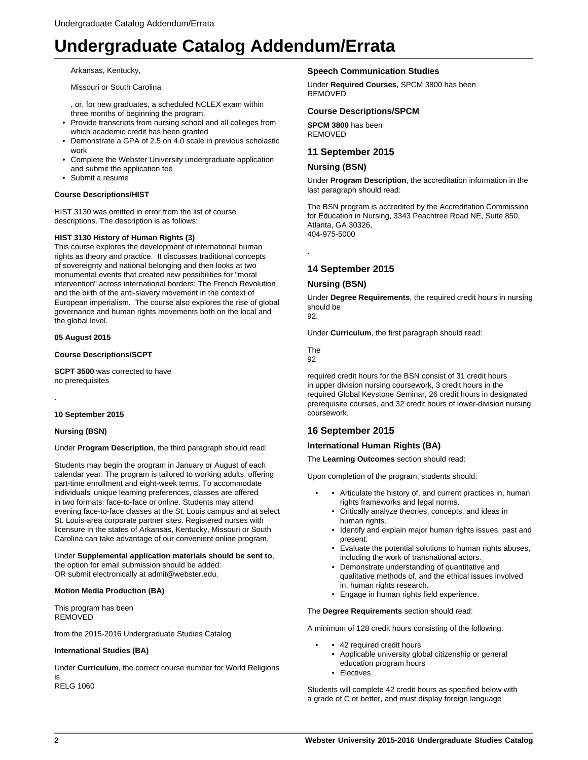# **Undergraduate Catalog Addendum/Errata**

Arkansas, Kentucky,

Missouri or South Carolina

, or, for new graduates, a scheduled NCLEX exam within three months of beginning the program.

- Provide transcripts from nursing school and all colleges from which academic credit has been granted
- Demonstrate a GPA of 2.5 on 4.0 scale in previous scholastic work
- Complete the Webster University undergraduate application and submit the application fee
- Submit a resume

#### **Course Descriptions/HIST**

HIST 3130 was omitted in error from the list of course descriptions. The description is as follows:

#### **HIST 3130 History of Human Rights (3)**

This course explores the development of international human rights as theory and practice. It discusses traditional concepts of sovereignty and national belonging and then looks at two monumental events that created new possibilities for "moral intervention" across international borders: The French Revolution and the birth of the anti-slavery movement in the context of European imperialism. The course also explores the rise of global governance and human rights movements both on the local and the global level.

#### **05 August 2015**

**Course Descriptions/SCPT**

**SCPT 3500** was corrected to have no prerequisites

#### **10 September 2015**

#### **Nursing (BSN)**

.

Under **Program Description**, the third paragraph should read:

Students may begin the program in January or August of each calendar year. The program is tailored to working adults, offering part-time enrollment and eight-week terms. To accommodate individuals' unique learning preferences, classes are offered in two formats: face-to-face or online. Students may attend evening face-to-face classes at the St. Louis campus and at select St. Louis-area corporate partner sites. Registered nurses with licensure in the states of Arkansas, Kentucky, Missouri or South Carolina can take advantage of our convenient online program.

Under **Supplemental application materials should be sent to**, the option for email submission should be added: OR submit electronically at admit@webster.edu.

#### **Motion Media Production (BA)**

This program has been REMOVED

from the 2015-2016 Undergraduate Studies Catalog

#### **International Studies (BA)**

Under **Curriculum**, the correct course number for World Religions is RELG 1060

#### **Speech Communication Studies**

Under **Required Courses**, SPCM 3800 has been REMOVED

#### **Course Descriptions/SPCM**

**SPCM 3800** has been REMOVED

## **11 September 2015**

#### **Nursing (BSN)**

Under **Program Description**, the accreditation information in the last paragraph should read:

The BSN program is accredited by the Accreditation Commission for Education in Nursing, 3343 Peachtree Road NE, Suite 850, Atlanta, GA 30326, 404-975-5000

**14 September 2015**

#### **Nursing (BSN)**

Under **Degree Requirements**, the required credit hours in nursing should be

92.

.

Under **Curriculum**, the first paragraph should read:

The 92

required credit hours for the BSN consist of 31 credit hours in upper division nursing coursework, 3 credit hours in the required Global Keystone Seminar, 26 credit hours in designated prerequisite courses, and 32 credit hours of lower-division nursing coursework.

## **16 September 2015**

#### **International Human Rights (BA)**

The **Learning Outcomes** section should read:

Upon completion of the program, students should:

- Articulate the history of, and current practices in, human rights frameworks and legal norms.
	- Critically analyze theories, concepts, and ideas in human rights.
	- Identify and explain major human rights issues, past and present.
	- Evaluate the potential solutions to human rights abuses, including the work of transnational actors.
	- Demonstrate understanding of quantitative and qualitative methods of, and the ethical issues involved in, human rights research.
	- Engage in human rights field experience.

The **Degree Requirements** section should read:

A minimum of 128 credit hours consisting of the following:

- 42 required credit hours
	- Applicable university global citizenship or general education program hours
	- Electives

Students will complete 42 credit hours as specified below with a grade of C or better, and must display foreign language